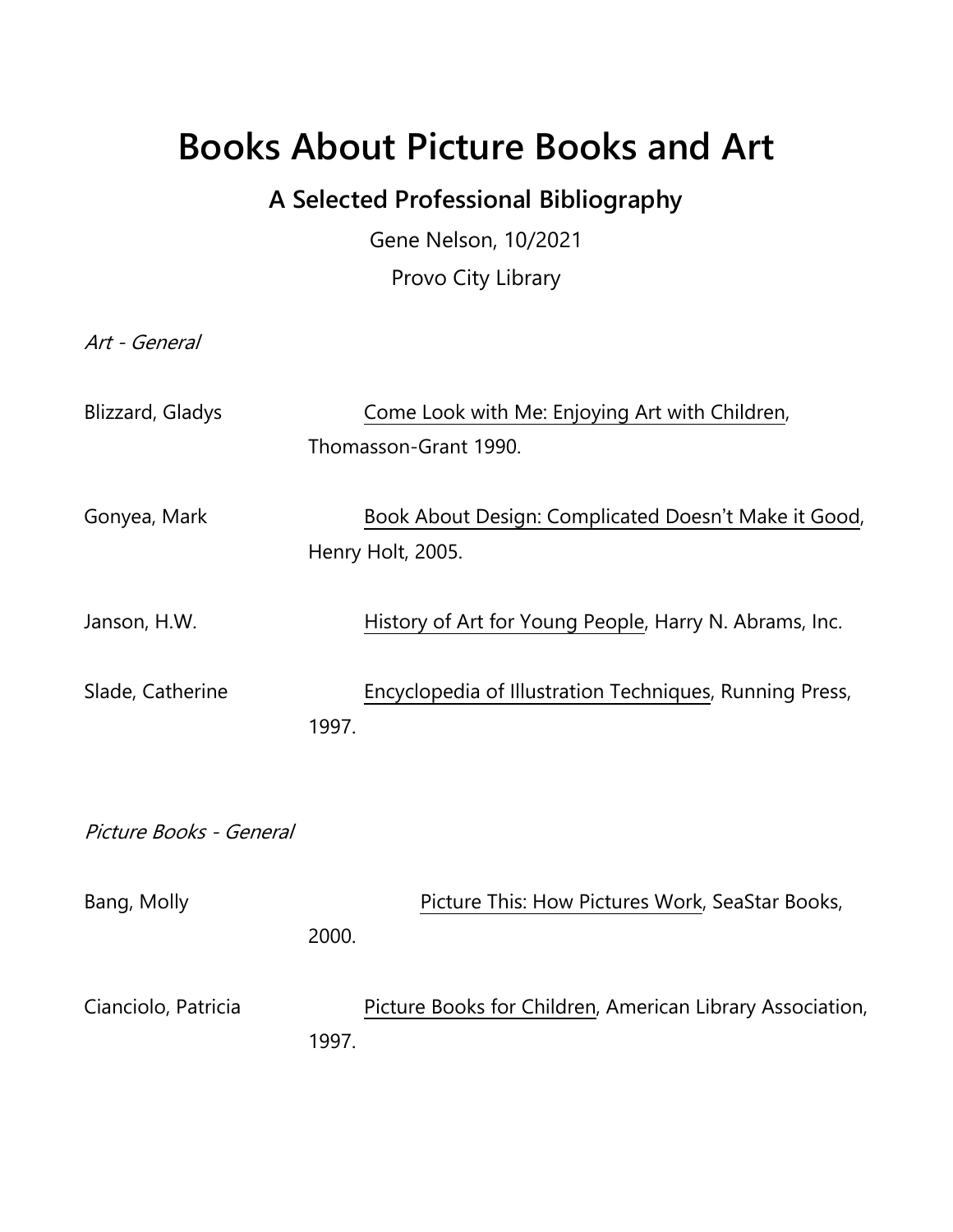## **Books About Picture Books and Art**

## **A Selected Professional Bibliography**

Gene Nelson, 10/2021 Provo City Library

Art - General

| Blizzard, Gladys        |       | Come Look with Me: Enjoying Art with Children,<br>Thomasson-Grant 1990.   |
|-------------------------|-------|---------------------------------------------------------------------------|
| Gonyea, Mark            |       | Book About Design: Complicated Doesn't Make it Good,<br>Henry Holt, 2005. |
| Janson, H.W.            |       | History of Art for Young People, Harry N. Abrams, Inc.                    |
| Slade, Catherine        | 1997. | Encyclopedia of Illustration Techniques, Running Press,                   |
| Picture Books - General |       |                                                                           |
| Bang, Molly             | 2000. | Picture This: How Pictures Work, SeaStar Books,                           |
| Cianciolo, Patricia     | 1997. | Picture Books for Children, American Library Association,                 |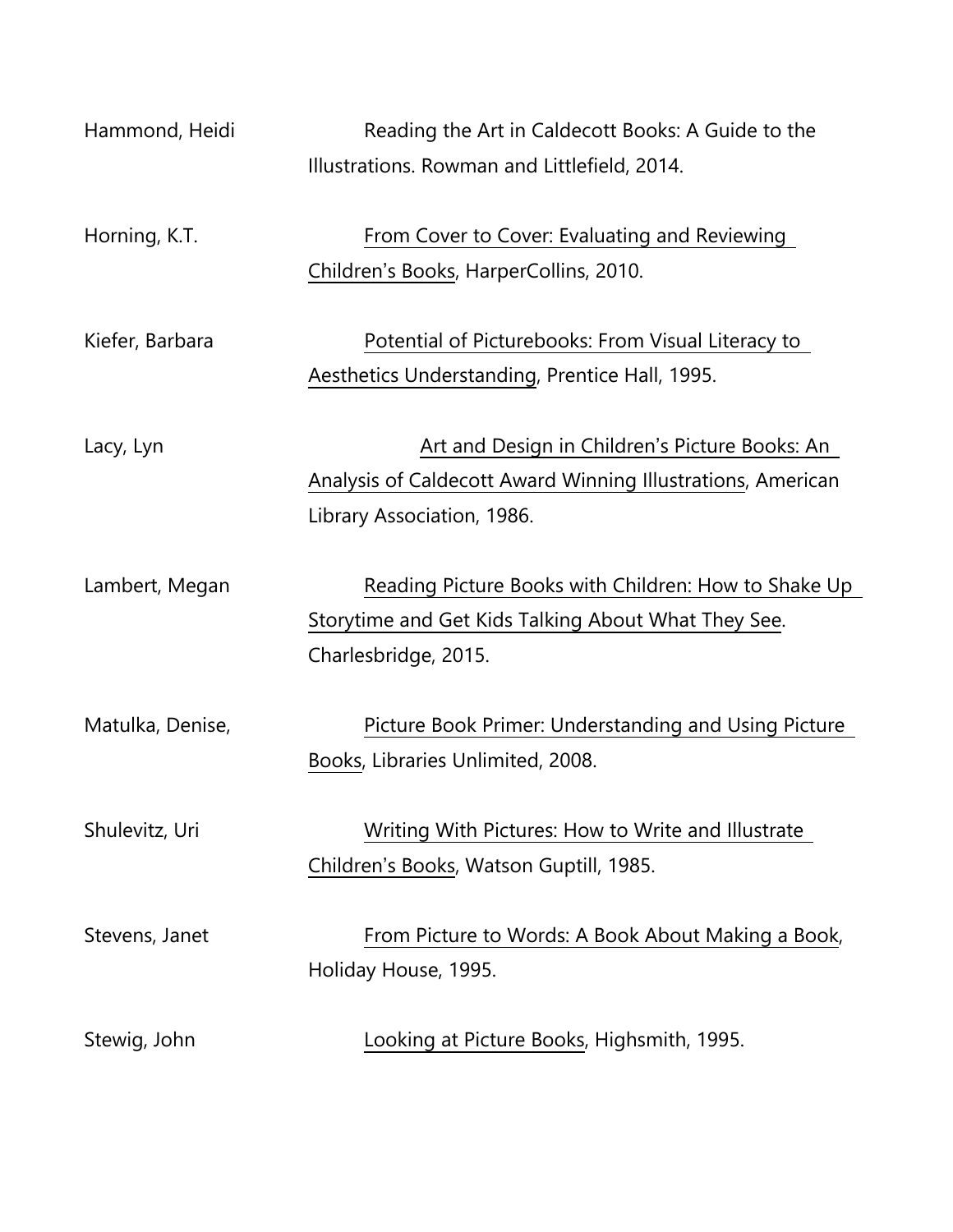| Hammond, Heidi   | Reading the Art in Caldecott Books: A Guide to the          |
|------------------|-------------------------------------------------------------|
|                  | Illustrations. Rowman and Littlefield, 2014.                |
|                  |                                                             |
| Horning, K.T.    | From Cover to Cover: Evaluating and Reviewing               |
|                  | Children's Books, HarperCollins, 2010.                      |
|                  |                                                             |
| Kiefer, Barbara  | Potential of Picturebooks: From Visual Literacy to          |
|                  | Aesthetics Understanding, Prentice Hall, 1995.              |
|                  |                                                             |
| Lacy, Lyn        | Art and Design in Children's Picture Books: An              |
|                  | Analysis of Caldecott Award Winning Illustrations, American |
|                  | Library Association, 1986.                                  |
|                  |                                                             |
| Lambert, Megan   | Reading Picture Books with Children: How to Shake Up        |
|                  | Storytime and Get Kids Talking About What They See.         |
|                  | Charlesbridge, 2015.                                        |
|                  |                                                             |
| Matulka, Denise, | Picture Book Primer: Understanding and Using Picture        |
|                  | Books, Libraries Unlimited, 2008.                           |
|                  |                                                             |
| Shulevitz, Uri   | Writing With Pictures: How to Write and Illustrate          |
|                  | Children's Books, Watson Guptill, 1985.                     |
|                  |                                                             |
| Stevens, Janet   | From Picture to Words: A Book About Making a Book,          |
|                  | Holiday House, 1995.                                        |
|                  |                                                             |
| Stewig, John     | Looking at Picture Books, Highsmith, 1995.                  |
|                  |                                                             |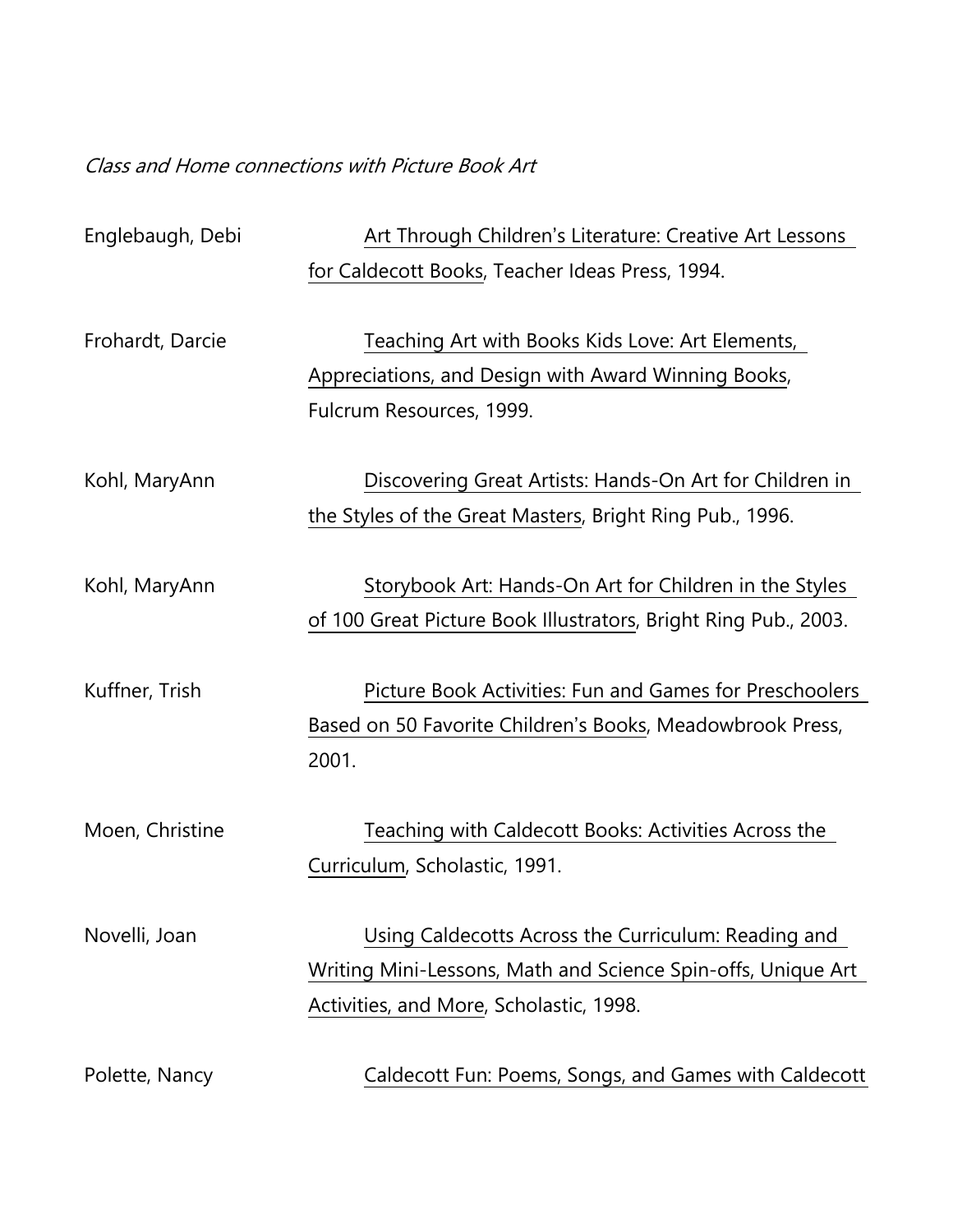Class and Home connections with Picture Book Art

| Englebaugh, Debi | Art Through Children's Literature: Creative Art Lessons                                                                                                        |
|------------------|----------------------------------------------------------------------------------------------------------------------------------------------------------------|
|                  | for Caldecott Books, Teacher Ideas Press, 1994.                                                                                                                |
| Frohardt, Darcie | Teaching Art with Books Kids Love: Art Elements,<br>Appreciations, and Design with Award Winning Books,<br>Fulcrum Resources, 1999.                            |
| Kohl, MaryAnn    | Discovering Great Artists: Hands-On Art for Children in<br>the Styles of the Great Masters, Bright Ring Pub., 1996.                                            |
| Kohl, MaryAnn    | Storybook Art: Hands-On Art for Children in the Styles<br>of 100 Great Picture Book Illustrators, Bright Ring Pub., 2003.                                      |
| Kuffner, Trish   | Picture Book Activities: Fun and Games for Preschoolers<br>Based on 50 Favorite Children's Books, Meadowbrook Press,<br>2001.                                  |
| Moen, Christine  | Teaching with Caldecott Books: Activities Across the<br>Curriculum, Scholastic, 1991.                                                                          |
| Novelli, Joan    | Using Caldecotts Across the Curriculum: Reading and<br>Writing Mini-Lessons, Math and Science Spin-offs, Unique Art<br>Activities, and More, Scholastic, 1998. |
| Polette, Nancy   | Caldecott Fun: Poems, Songs, and Games with Caldecott                                                                                                          |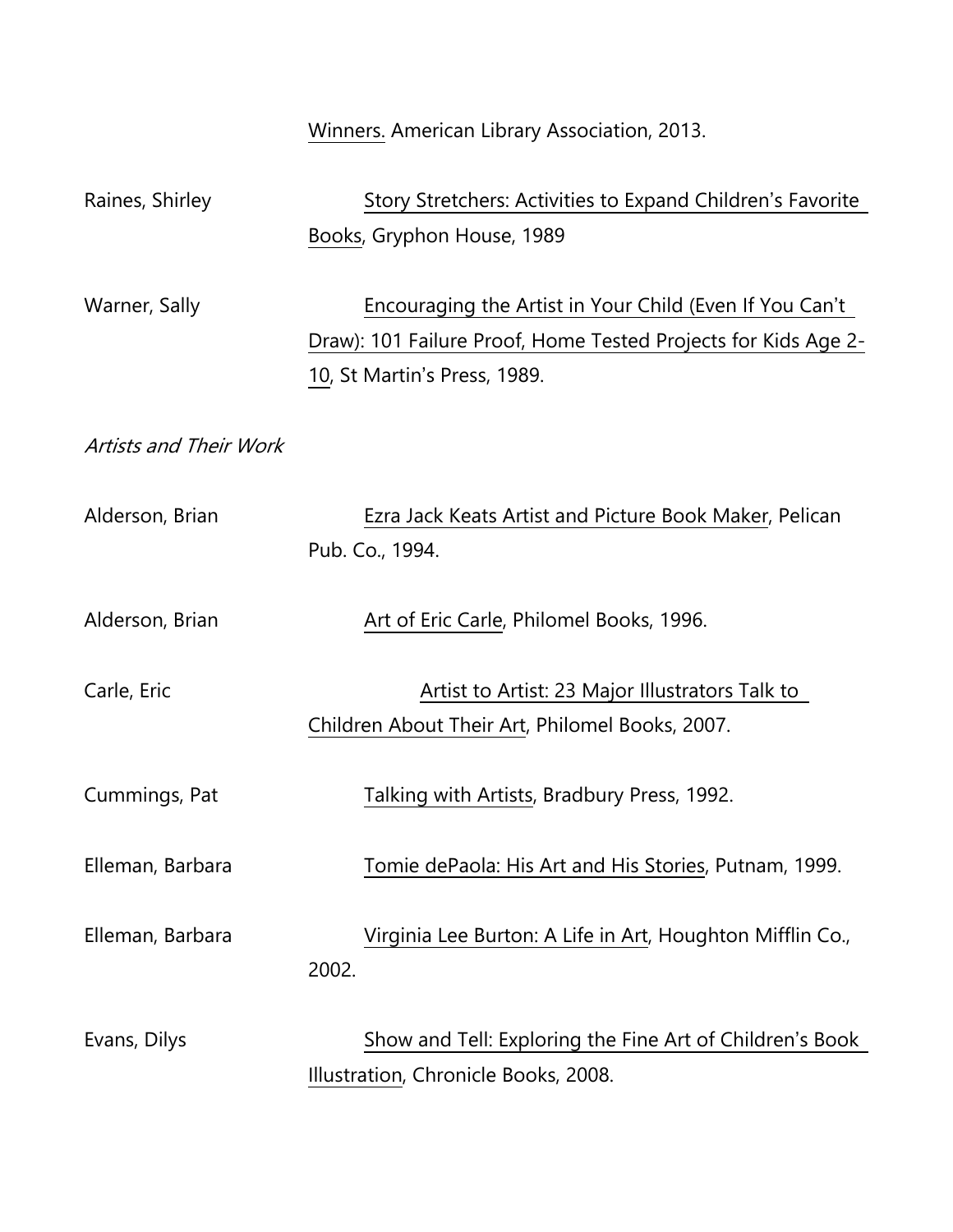Winners. American Library Association, 2013. Raines, Shirley Story Stretchers: Activities to Expand Children's Favorite Books, Gryphon House, 1989 Warner, Sally **Encouraging the Artist in Your Child (Even If You Can't** Draw): 101 Failure Proof, Home Tested Projects for Kids Age 2- 10, St Martin's Press, 1989. Artists and Their Work Alderson, Brian Ezra Jack Keats Artist and Picture Book Maker, Pelican Pub. Co., 1994. Alderson, Brian **Art of Eric Carle, Philomel Books, 1996.** Carle, Eric **Carle, Eric Artist to Artist: 23 Major Illustrators Talk to** Children About Their Art, Philomel Books, 2007. Cummings, Pat Talking with Artists, Bradbury Press, 1992. Elleman, Barbara Tomie dePaola: His Art and His Stories, Putnam, 1999. Elleman, Barbara Virginia Lee Burton: A Life in Art, Houghton Mifflin Co., 2002. Evans, Dilys Show and Tell: Exploring the Fine Art of Children's Book Illustration, Chronicle Books, 2008.